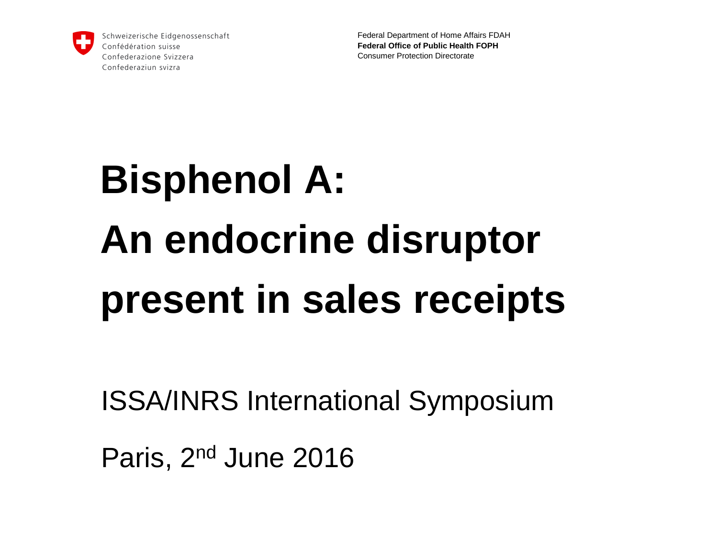

Federal Department of Home Affairs FDAH **Federal Office of Public Health FOPH** Consumer Protection Directorate

# **Bisphenol A: An endocrine disruptor present in sales receipts**

ISSA/INRS International Symposium

Paris, 2nd June 2016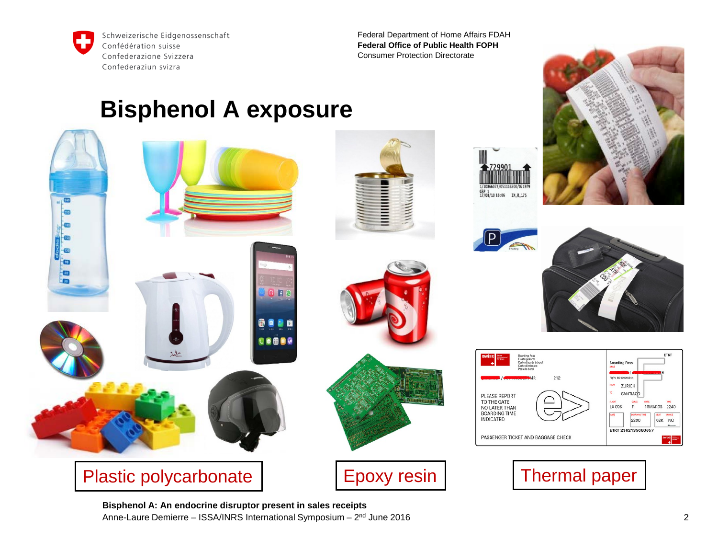

Federal Department of Home Affairs FDAH **Federal Office of Public Health FOPH** Consumer Protection Directorate

#### **Bisphenol A exposure**





















**Bisphenol A: An endocrine disruptor present in sales receipts** Anne-Laure Demierre – ISSA/INRS International Symposium – 2nd June 2016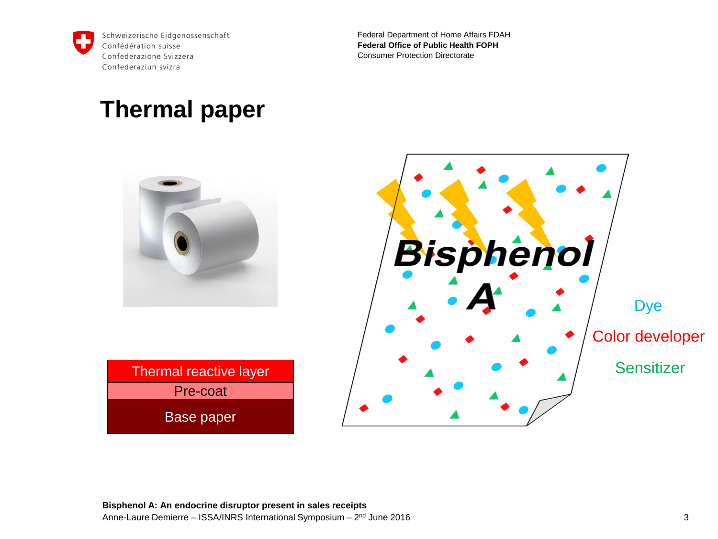

Federal Department of Home Affairs FDAH **Federal Office of Public Health FOPH** Consumer Protection Directorate

#### **Thermal paper**





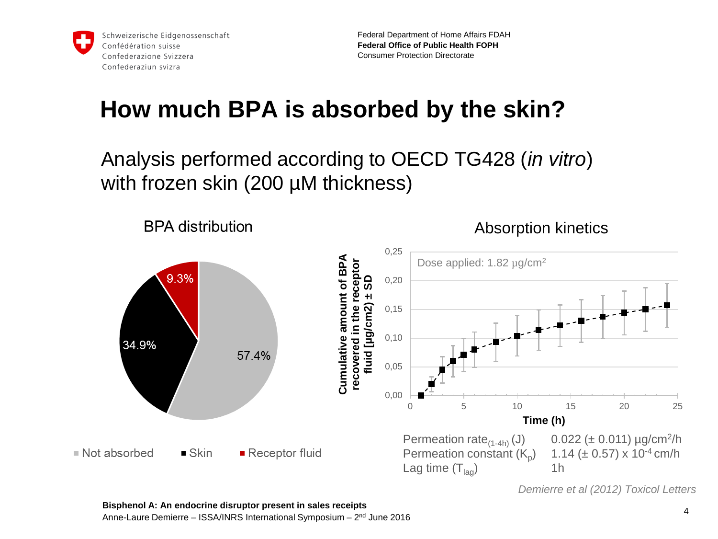

Federal Department of Home Affairs FDAH **Federal Office of Public Health FOPH** Consumer Protection Directorate

# **How much BPA is absorbed by the skin?**

Analysis performed according to OECD TG428 (*in vitro*) with frozen skin (200 µM thickness)



*Demierre et al (2012) Toxicol Letters*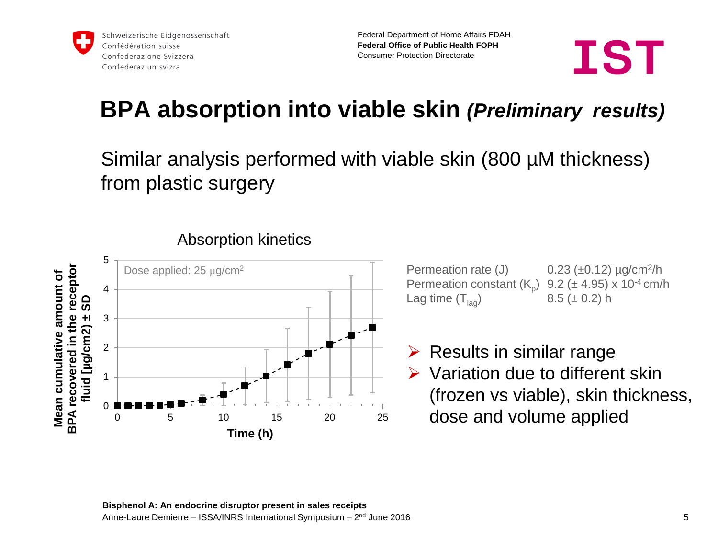



# **BPA absorption into viable skin** *(Preliminary results)*

Similar analysis performed with viable skin (800 µM thickness) from plastic surgery



Absorption kinetics

Permeation rate  $(J)$  0.23 ( $\pm$ 0.12)  $\mu$ g/cm<sup>2</sup>/h Permeation constant  $(K_p)$  9.2 ( $\pm$  4.95) x 10<sup>-4</sup> cm/h<br>Lag time  $(T_{\text{loc}})$  8.5 ( $\pm$  0.2) h Lag time  $(T<sub>las</sub>)$ 

 $\triangleright$  Results in similar range  $\triangleright$  Variation due to different skin (frozen vs viable), skin thickness, dose and volume applied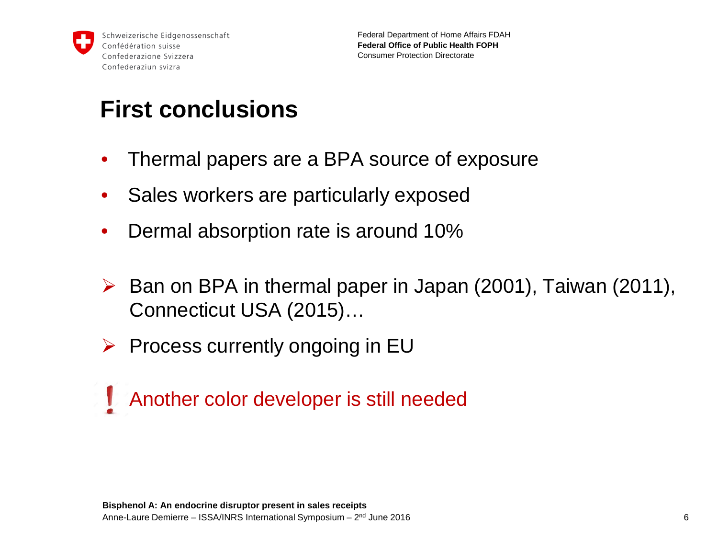

# **First conclusions**

- Thermal papers are a BPA source of exposure
- Sales workers are particularly exposed
- Dermal absorption rate is around 10%
- $\triangleright$  Ban on BPA in thermal paper in Japan (2001), Taiwan (2011), Connecticut USA (2015)…
- $\triangleright$  Process currently ongoing in EU
- **Another color developer is still needed**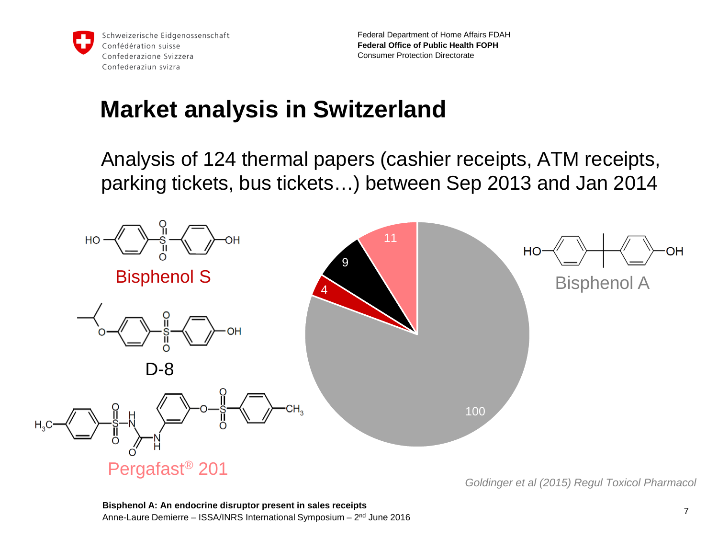

Federal Department of Home Affairs FDAH **Federal Office of Public Health FOPH** Consumer Protection Directorate

## **Market analysis in Switzerland**

Analysis of 124 thermal papers (cashier receipts, ATM receipts, parking tickets, bus tickets…) between Sep 2013 and Jan 2014

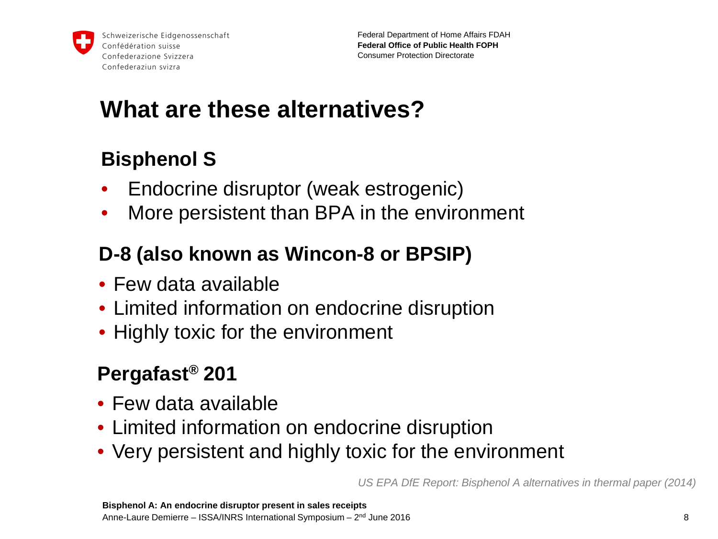

# **What are these alternatives?**

### **Bisphenol S**

- Endocrine disruptor (weak estrogenic)
- More persistent than BPA in the environment

### **D-8 (also known as Wincon-8 or BPSIP)**

- Few data available
- Limited information on endocrine disruption
- Highly toxic for the environment

### **Pergafast® 201**

- Few data available
- Limited information on endocrine disruption
- Very persistent and highly toxic for the environment

*US EPA DfE Report: Bisphenol A alternatives in thermal paper (2014)*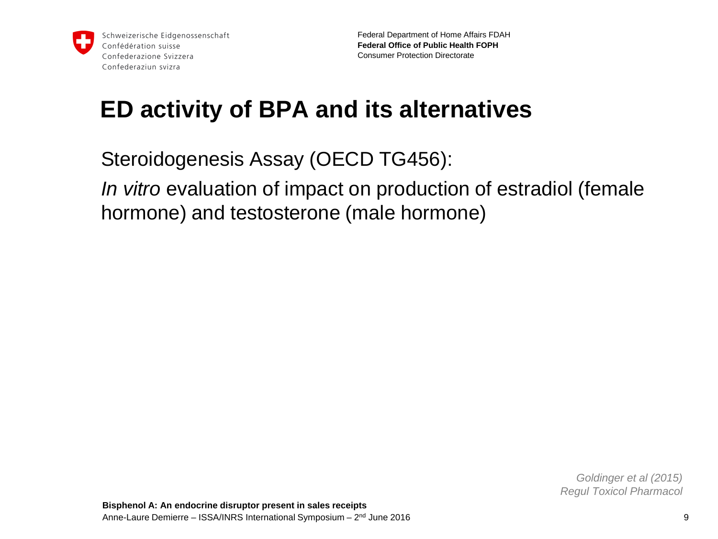

# **ED activity of BPA and its alternatives**

Steroidogenesis Assay (OECD TG456): *In vitro* evaluation of impact on production of estradiol (female hormone) and testosterone (male hormone)

> *Goldinger et al (2015) Regul Toxicol Pharmacol*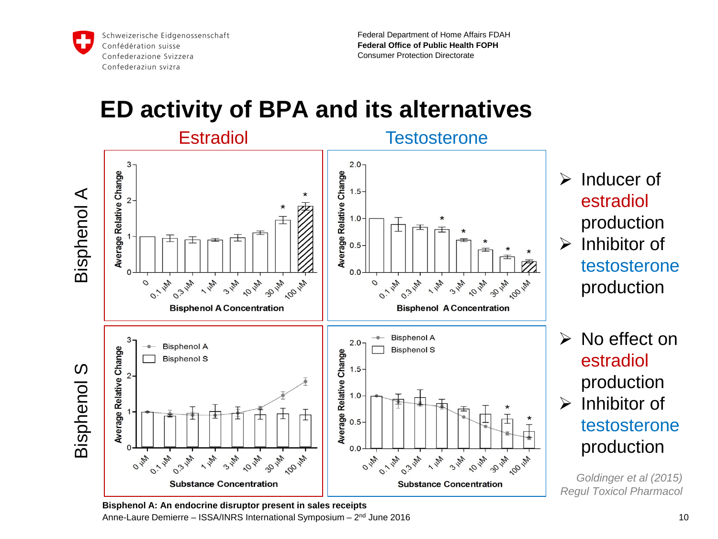

Federal Department of Home Affairs FDAH **Federal Office of Public Health FOPH** Consumer Protection Directorate

## **ED activity of BPA and its alternatives**

Estradiol **Testosterone** 



 $\triangleright$  Inducer of estradiol production

- $\triangleright$  Inhibitor of testosterone production
- $\triangleright$  No effect on estradiol production
- $\triangleright$  Inhibitor of testosterone production

*Goldinger et al (2015) Regul Toxicol Pharmacol*

**Bisphenol A: An endocrine disruptor present in sales receipts** Anne-Laure Demierre – ISSA/INRS International Symposium – 2nd June 2016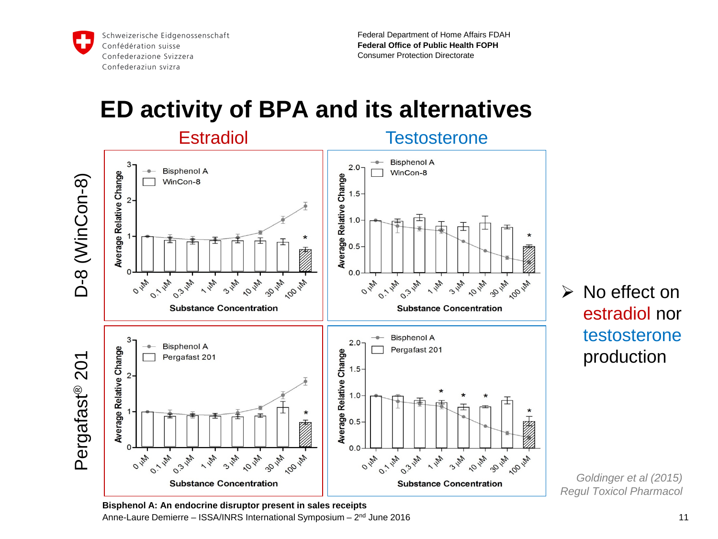

Federal Department of Home Affairs FDAH **Federal Office of Public Health FOPH** Consumer Protection Directorate

## **ED activity of BPA and its alternatives**





 $\triangleright$  No effect on estradiol nor testosterone production

*Goldinger et al (2015) Regul Toxicol Pharmacol*

**Bisphenol A: An endocrine disruptor present in sales receipts** Anne-Laure Demierre – ISSA/INRS International Symposium – 2nd June 2016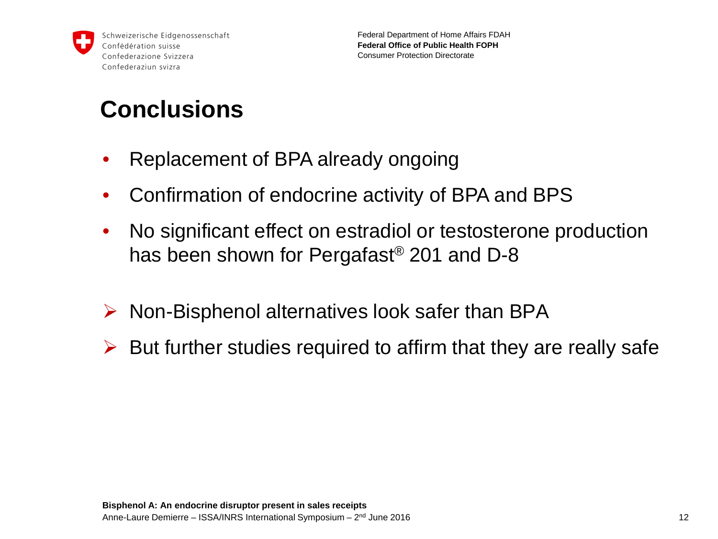

# **Conclusions**

- Replacement of BPA already ongoing
- Confirmation of endocrine activity of BPA and BPS
- No significant effect on estradiol or testosterone production has been shown for Pergafast® 201 and D-8
- $\triangleright$  Non-Bisphenol alternatives look safer than BPA
- $\triangleright$  But further studies required to affirm that they are really safe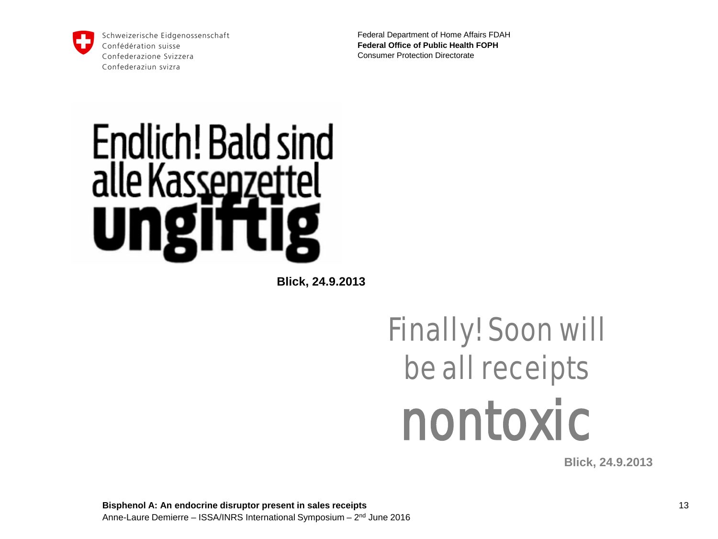

Federal Department of Home Affairs FDAH **Federal Office of Public Health FOPH** Consumer Protection Directorate

# Endlich! Bald sind alle Kassenzettel U

**Blick, 24.9.2013**

# Finally! Soon will be all receipts nontoxic

**Blick, 24.9.2013**